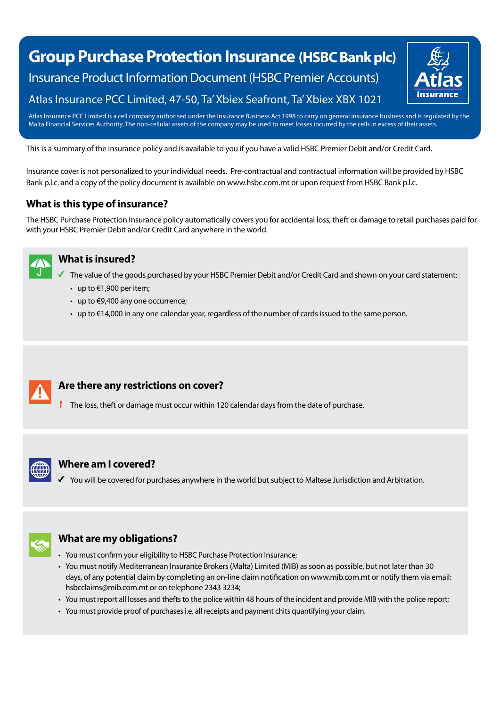# **Group Purchase Protection Insurance (HSBC Bank plc)** Insurance Product Information Document (HSBC Premier Accounts) Atlas Insurance PCC Limited, 47-50, Ta' Xbiex Seafront, Ta' Xbiex XBX 1021



Atlas Insurance PCC Limited is a cell company authorised under the Insurance Business Act 1998 to carry on general insurance business and is regulated by the Malta Financial Services Authority. The non-cellular assets of the company may be used to meet losses incurred by the cells in excess of their assets.

This is a summary of the insurance policy and is available to you if you have a valid HSBC Premier Debit and/or Credit Card.

Insurance cover is not personalized to your individual needs. Pre-contractual and contractual information will be provided by HSBC Bank p.l.c. and a copy of the policy document is available on www.hsbc.com.mt or upon request from HSBC Bank p.l.c.

# **What is this type of insurance?**

The HSBC Purchase Protection Insurance policy automatically covers you for accidental loss, theft or damage to retail purchases paid for with your HSBC Premier Debit and/or Credit Card anywhere in the world.



#### **What is insured?**

- The value of the goods purchased by your HSBC Premier Debit and/or Credit Card and shown on your card statement:
	- up to €1,900 per item;
	- up to  $€9,400$  any one occurrence;
	- up to €14,000 in any one calendar year, regardless of the number of cards issued to the same person.



## **Are there any restrictions on cover?**

 $\pm$  The loss, theft or damage must occur within 120 calendar days from the date of purchase.



#### **Where am I covered?**

You will be covered for purchases anywhere in the world but subject to Maltese Jurisdiction and Arbitration.



# **What are my obligations?**

- You must confirm your eligibility to HSBC Purchase Protection Insurance;
- You must notify Mediterranean Insurance Brokers (Malta) Limited (MIB) as soon as possible, but not later than 30 days, of any potential claim by completing an on-line claim notification on www.mib.com.mt or notify them via email: hsbcclaims@mib.com.mt or on telephone 2343 3234;
- You must report all losses and thefts to the police within 48 hours of the incident and provide MIB with the police report;
- You must provide proof of purchases i.e. all receipts and payment chits quantifying your claim.